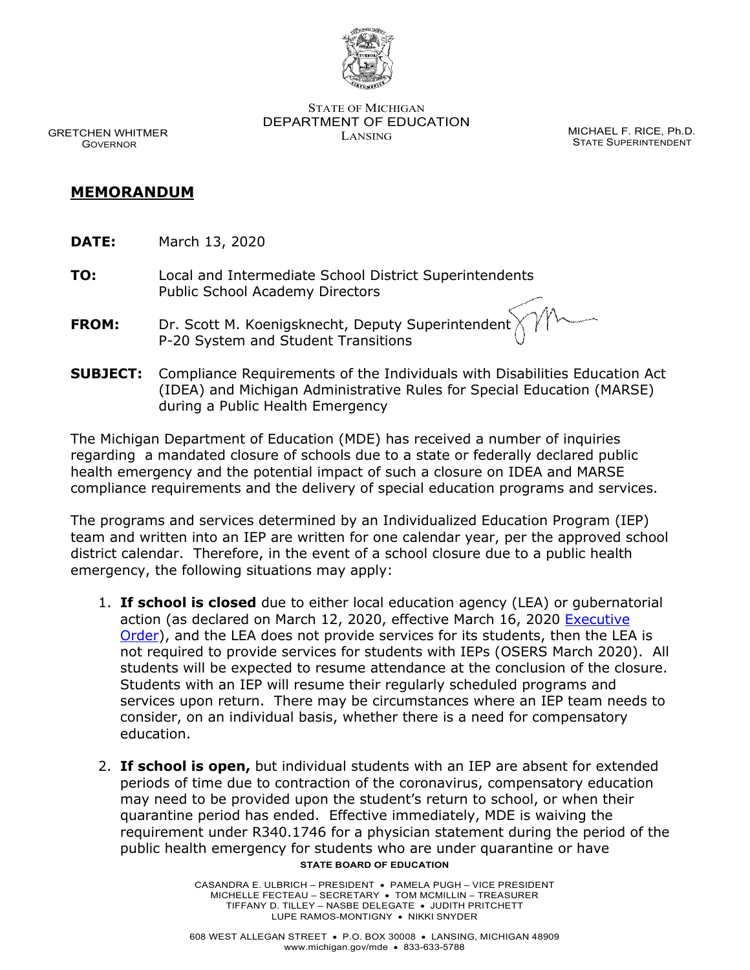

STATE OF MICHIGAN DEPARTMENT OF EDUCATION LANSING CONTROL CONTROL MICHAEL F. RICE, Ph.D.

STATE SUPERINTENDENT

GRETCHEN WHITMER **GOVERNOR** 

## **MEMORANDUM**

- **DATE:** March 13, 2020
- **TO:** Local and Intermediate School District Superintendents Public School Academy Directors
- **FROM:** Dr. Scott M. Koenigsknecht, Deputy Superintendent P-20 System and Student Transitions
- **SUBJECT:** Compliance Requirements of the Individuals with Disabilities Education Act (IDEA) and Michigan Administrative Rules for Special Education (MARSE) during a Public Health Emergency

The Michigan Department of Education (MDE) has received a number of inquiries regarding a mandated closure of schools due to a state or federally declared public health emergency and the potential impact of such a closure on IDEA and MARSE compliance requirements and the delivery of special education programs and services.

The programs and services determined by an Individualized Education Program (IEP) team and written into an IEP are written for one calendar year, per the approved school district calendar. Therefore, in the event of a school closure due to a public health emergency, the following situations may apply:

- 1. **If school is closed** due to either local education agency (LEA) or gubernatorial action (as declared on March 12, 2020, effective March 16, 2020 Executive [Order\)](https://content.govdelivery.com/attachments/MIEOG/2020/03/13/file_attachments/1400200/EO%202020-5,%20Governor%20Whitmer%20Emergency%20order,%20mass%20assemblages%20and%20schools.pdf), and the LEA does not provide services for its students, then the LEA is not required to provide services for students with IEPs (OSERS March 2020). All students will be expected to resume attendance at the conclusion of the closure. Students with an IEP will resume their regularly scheduled programs and services upon return. There may be circumstances where an IEP team needs to consider, on an individual basis, whether there is a need for compensatory education.
- **STATE BOARD OF EDUCATION** 2. **If school is open,** but individual students with an IEP are absent for extended periods of time due to contraction of the coronavirus, compensatory education may need to be provided upon the student's return to school, or when their quarantine period has ended. Effective immediately, MDE is waiving the requirement under R340.1746 for a physician statement during the period of the public health emergency for students who are under quarantine or have

CASANDRA E. ULBRICH – PRESIDENT • PAMELA PUGH – VICE PRESIDENT MICHELLE FECTEAU – SECRETARY • TOM MCMILLIN – TREASURER TIFFANY D. TILLEY – NASBE DELEGATE • JUDITH PRITCHETT LUPE RAMOS-MONTIGNY • NIKKI SNYDER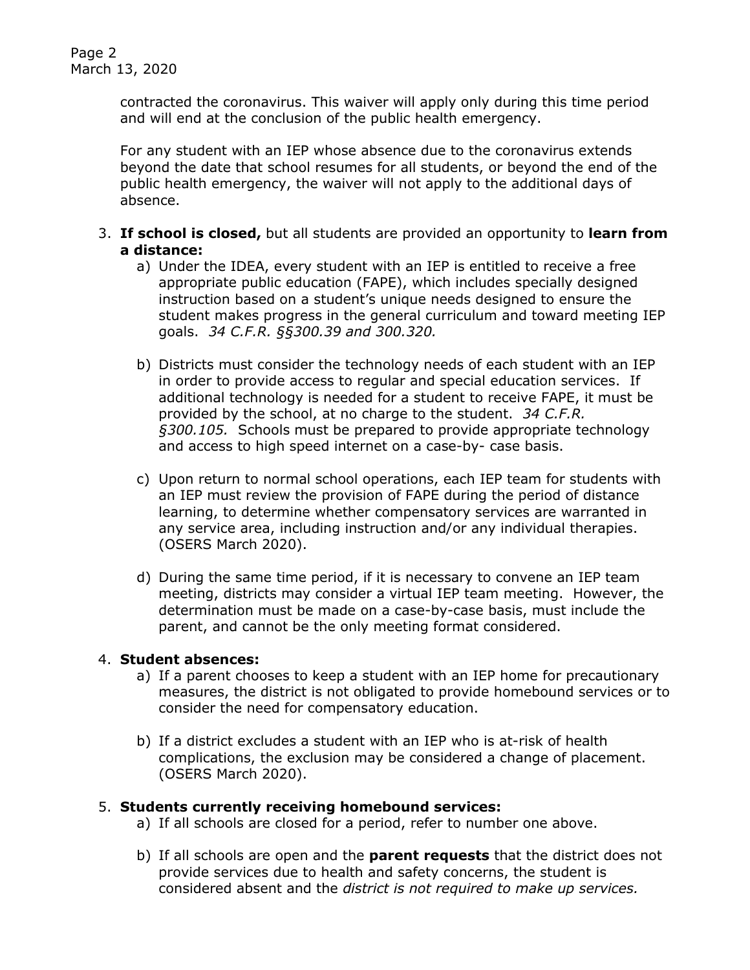contracted the coronavirus. This waiver will apply only during this time period and will end at the conclusion of the public health emergency.

For any student with an IEP whose absence due to the coronavirus extends beyond the date that school resumes for all students, or beyond the end of the public health emergency, the waiver will not apply to the additional days of absence.

- 3. **If school is closed,** but all students are provided an opportunity to **learn from a distance:**
	- a) Under the IDEA, every student with an IEP is entitled to receive a free appropriate public education (FAPE), which includes specially designed instruction based on a student's unique needs designed to ensure the student makes progress in the general curriculum and toward meeting IEP goals. *34 C.F.R. §§300.39 and 300.320.*
	- b) Districts must consider the technology needs of each student with an IEP in order to provide access to regular and special education services. If additional technology is needed for a student to receive FAPE, it must be provided by the school, at no charge to the student. *34 C.F.R. §300.105.* Schools must be prepared to provide appropriate technology and access to high speed internet on a case-by- case basis.
	- c) Upon return to normal school operations, each IEP team for students with an IEP must review the provision of FAPE during the period of distance learning, to determine whether compensatory services are warranted in any service area, including instruction and/or any individual therapies. (OSERS March 2020).
	- d) During the same time period, if it is necessary to convene an IEP team meeting, districts may consider a virtual IEP team meeting. However, the determination must be made on a case-by-case basis, must include the parent, and cannot be the only meeting format considered.

## 4. **Student absences:**

- a) If a parent chooses to keep a student with an IEP home for precautionary measures, the district is not obligated to provide homebound services or to consider the need for compensatory education.
- b) If a district excludes a student with an IEP who is at-risk of health complications, the exclusion may be considered a change of placement. (OSERS March 2020).

## 5. **Students currently receiving homebound services:**

- a) If all schools are closed for a period, refer to number one above.
- b) If all schools are open and the **parent requests** that the district does not provide services due to health and safety concerns, the student is considered absent and the *district is not required to make up services.*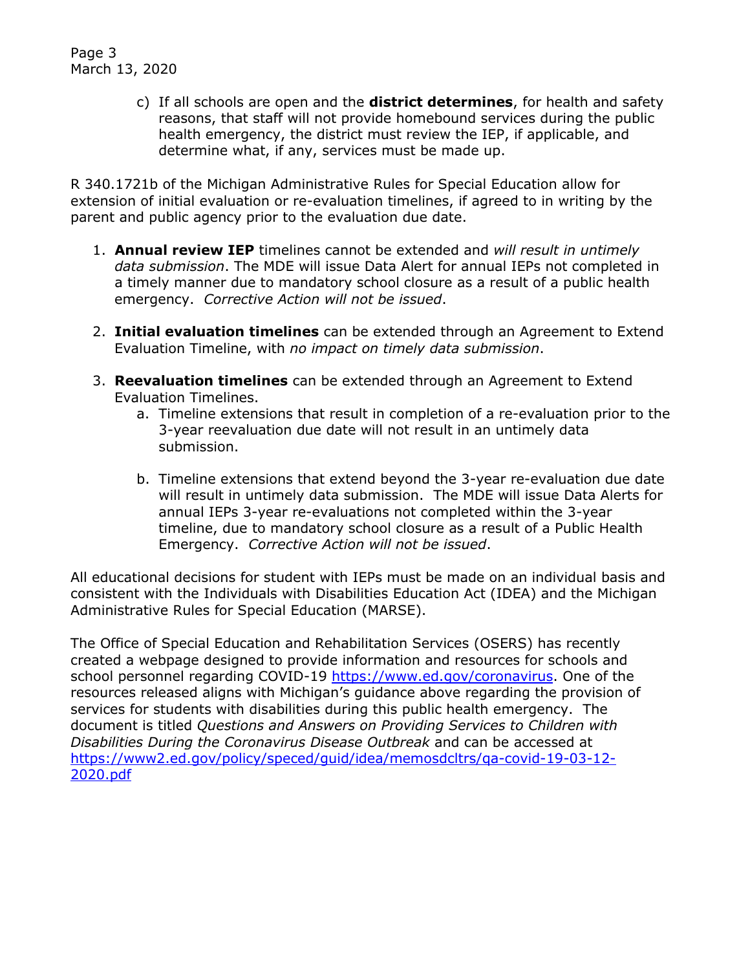c) If all schools are open and the **district determines**, for health and safety reasons, that staff will not provide homebound services during the public health emergency, the district must review the IEP, if applicable, and determine what, if any, services must be made up.

R 340.1721b of the Michigan Administrative Rules for Special Education allow for extension of initial evaluation or re-evaluation timelines, if agreed to in writing by the parent and public agency prior to the evaluation due date.

- 1. **Annual review IEP** timelines cannot be extended and *will result in untimely data submission*. The MDE will issue Data Alert for annual IEPs not completed in a timely manner due to mandatory school closure as a result of a public health emergency. *Corrective Action will not be issued*.
- 2. **Initial evaluation timelines** can be extended through an Agreement to Extend Evaluation Timeline, with *no impact on timely data submission*.
- 3. **Reevaluation timelines** can be extended through an Agreement to Extend Evaluation Timelines.
	- a. Timeline extensions that result in completion of a re-evaluation prior to the 3-year reevaluation due date will not result in an untimely data submission.
	- b. Timeline extensions that extend beyond the 3-year re-evaluation due date will result in untimely data submission. The MDE will issue Data Alerts for annual IEPs 3-year re-evaluations not completed within the 3-year timeline, due to mandatory school closure as a result of a Public Health Emergency. *Corrective Action will not be issued*.

All educational decisions for student with IEPs must be made on an individual basis and consistent with the Individuals with Disabilities Education Act (IDEA) and the Michigan Administrative Rules for Special Education (MARSE).

The Office of Special Education and Rehabilitation Services (OSERS) has recently created a webpage designed to provide information and resources for schools and school personnel regarding COVID-19 [https://www.ed.gov/coronavirus.](https://www.ed.gov/coronavirus) One of the resources released aligns with Michigan's guidance above regarding the provision of services for students with disabilities during this public health emergency. The document is titled *Questions and Answers on Providing Services to Children with Disabilities During the Coronavirus Disease Outbreak* and can be accessed at [https://www2.ed.gov/policy/speced/guid/idea/memosdcltrs/qa-covid-19-03-12-](https://www2.ed.gov/policy/speced/guid/idea/memosdcltrs/qa-covid-19-03-12-2020.pdf) [2020.pdf](https://www2.ed.gov/policy/speced/guid/idea/memosdcltrs/qa-covid-19-03-12-2020.pdf)